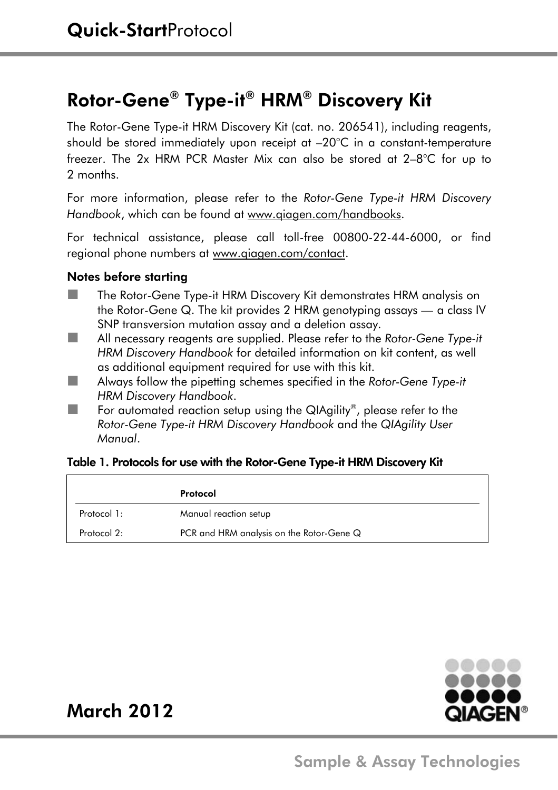# Rotor-Gene® Type-it® HRM® Discovery Kit

The Rotor-Gene Type-it HRM Discovery Kit (cat. no. 206541), including reagents, should be stored immediately upon receipt at –20°C in a constant-temperature freezer. The 2x HRM PCR Master Mix can also be stored at 2–8°C for up to 2 months.

For more information, please refer to the *Rotor-Gene Type-it HRM Discovery Handbook*, which can be found at www.qiagen.com/handbooks.

For technical assistance, please call toll-free 00800-22-44-6000, or find regional phone numbers at www.qiagen.com/contact.

#### Notes before starting

- The Rotor-Gene Type-it HRM Discovery Kit demonstrates HRM analysis on the Rotor-Gene Q. The kit provides 2 HRM genotyping assays — a class IV SNP transversion mutation assay and a deletion assay.
- All necessary reagents are supplied. Please refer to the *Rotor-Gene Type-it HRM Discovery Handbook* for detailed information on kit content, as well as additional equipment required for use with this kit.
- Always follow the pipetting schemes specified in the *Rotor-Gene Type-it HRM Discovery Handbook*.
- $\blacksquare$  For automated reaction setup using the QIAgility®, please refer to the *Rotor-Gene Type-it HRM Discovery Handbook* and the *QIAgility User Manual*.

#### Table 1. Protocols for use with the Rotor-Gene Type-it HRM Discovery Kit

|             | Protocol                                 |
|-------------|------------------------------------------|
| Protocol 1: | Manual reaction setup                    |
| Protocol 2: | PCR and HRM analysis on the Rotor-Gene Q |



# March 2012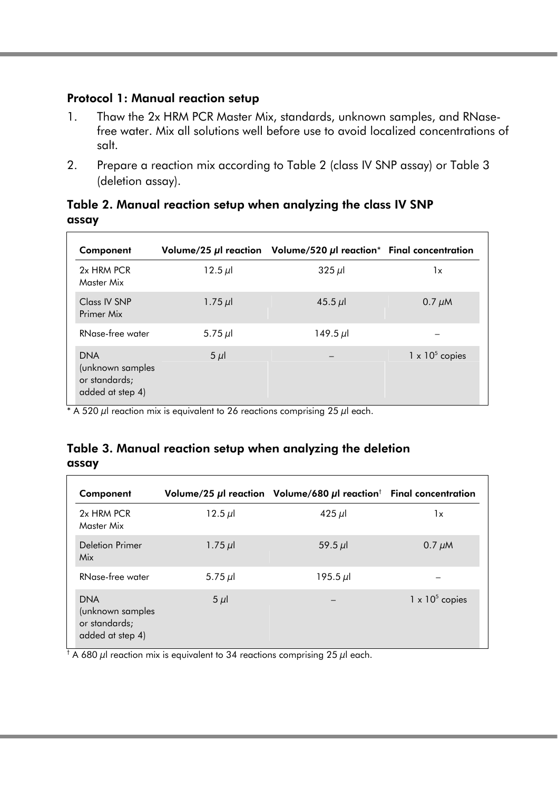## Protocol 1: Manual reaction setup

- 1. Thaw the 2x HRM PCR Master Mix, standards, unknown samples, and RNasefree water. Mix all solutions well before use to avoid localized concentrations of salt.
- 2. Prepare a reaction mix according to Table 2 (class IV SNP assay) or Table 3 (deletion assay).

| Component                                                           |            | Volume/25 $\mu$ reaction Volume/520 $\mu$ reaction* Final concentration |                        |
|---------------------------------------------------------------------|------------|-------------------------------------------------------------------------|------------------------|
| 2x HRM PCR<br>Master Mix                                            | $12.5 \mu$ | $325 \mu$                                                               | 1x                     |
| Class IV SNP<br>Primer Mix                                          | $1.75 \mu$ | 45.5 $\mu$ l                                                            | $0.7 \mu M$            |
| RNase-free water                                                    | 5.75 $\mu$ | $149.5 \mu$                                                             |                        |
| <b>DNA</b><br>(unknown samples<br>or standards;<br>added at step 4) | $5 \mu$    | -                                                                       | $1 \times 10^5$ copies |

# Table 2. Manual reaction setup when analyzing the class IV SNP assay

\* A 520  $\mu$  reaction mix is equivalent to 26 reactions comprising 25  $\mu$  each.

#### Table 3. Manual reaction setup when analyzing the deletion assay

| Component                                                           |              | Volume/25 $\mu$ I reaction Volume/680 $\mu$ I reaction <sup>†</sup> Final concentration |                        |
|---------------------------------------------------------------------|--------------|-----------------------------------------------------------------------------------------|------------------------|
| 2x HRM PCR<br>Master Mix                                            | $12.5 \mu$   | 425 $\mu$ l                                                                             | 1x                     |
| Deletion Primer<br>Mix                                              | $1.75 \mu$   | $59.5 \mu$                                                                              | $0.7 \mu M$            |
| RNase-free water                                                    | 5.75 $\mu$ l | $195.5 \mu$                                                                             |                        |
| <b>DNA</b><br>(unknown samples<br>or standards;<br>added at step 4) | $5 \mu$      | -                                                                                       | $1 \times 10^5$ copies |

 $^{\dagger}$  A 680  $\mu$ l reaction mix is equivalent to 34 reactions comprising 25  $\mu$ l each.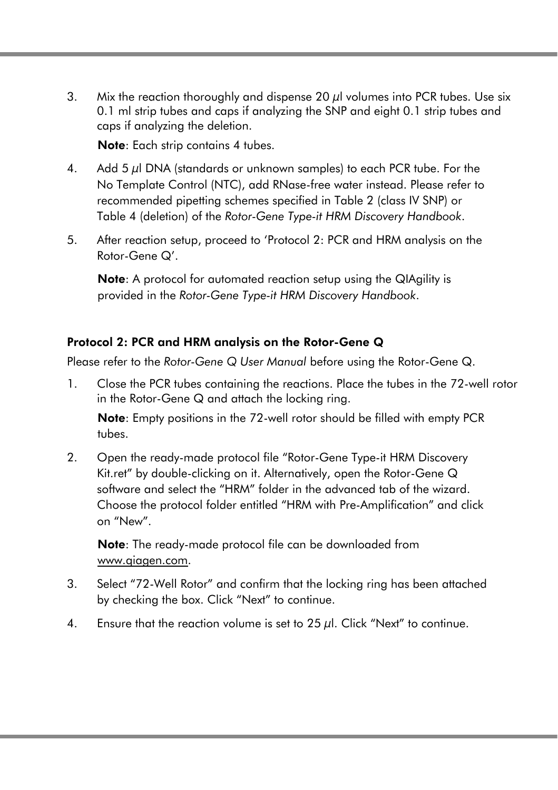3. Mix the reaction thoroughly and dispense 20 *μl* volumes into PCR tubes. Use six 0.1 ml strip tubes and caps if analyzing the SNP and eight 0.1 strip tubes and caps if analyzing the deletion.

Note: Each strip contains 4 tubes.

- 4. Add 5  $\mu$ I DNA (standards or unknown samples) to each PCR tube. For the No Template Control (NTC), add RNase-free water instead. Please refer to recommended pipetting schemes specified in Table 2 (class IV SNP) or Table 4 (deletion) of the *Rotor-Gene Type-it HRM Discovery Handbook*.
- 5. After reaction setup, proceed to 'Protocol 2: PCR and HRM analysis on the Rotor-Gene Q'.

Note: A protocol for automated reaction setup using the QIAgility is provided in the *Rotor-Gene Type-it HRM Discovery Handbook*.

## Protocol 2: PCR and HRM analysis on the Rotor-Gene Q

Please refer to the *Rotor-Gene Q User Manual* before using the Rotor-Gene Q.

1. Close the PCR tubes containing the reactions. Place the tubes in the 72-well rotor in the Rotor-Gene Q and attach the locking ring.

Note: Empty positions in the 72-well rotor should be filled with empty PCR tubes.

2. Open the ready-made protocol file "Rotor-Gene Type-it HRM Discovery Kit.ret" by double-clicking on it. Alternatively, open the Rotor-Gene Q software and select the "HRM" folder in the advanced tab of the wizard. Choose the protocol folder entitled "HRM with Pre-Amplification" and click on "New".

Note: The ready-made protocol file can be downloaded from www.qiagen.com.

- 3. Select "72-Well Rotor" and confirm that the locking ring has been attached by checking the box. Click "Next" to continue.
- 4. Ensure that the reaction volume is set to  $25 \mu l$ . Click "Next" to continue.